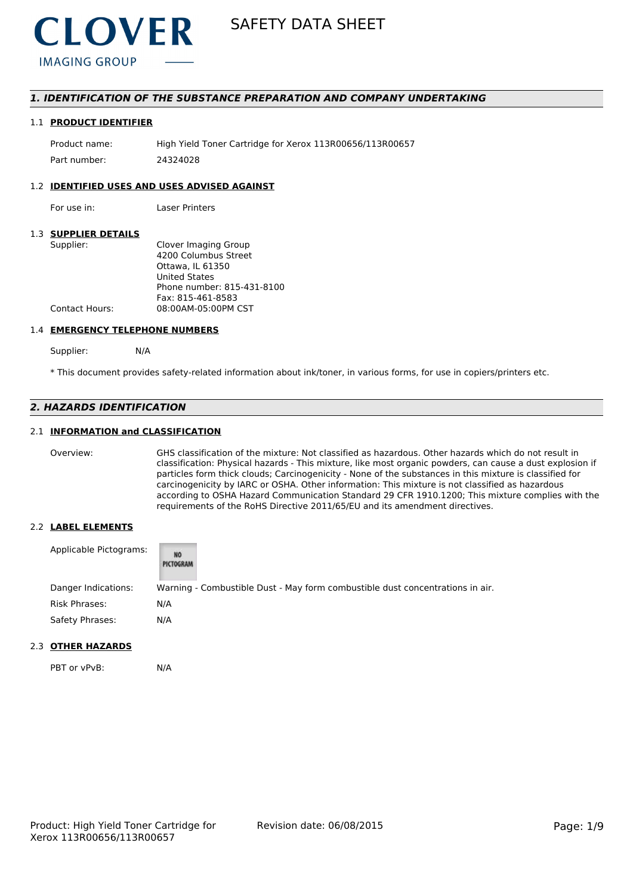

# *1. IDENTIFICATION OF THE SUBSTANCE PREPARATION AND COMPANY UNDERTAKING*

#### 1.1 **PRODUCT IDENTIFIER**

Product name: High Yield Toner Cartridge for Xerox 113R00656/113R00657 Part number: 24324028

### 1.2 **IDENTIFIED USES AND USES ADVISED AGAINST**

For use in: Laser Printers

### 1.3 **SUPPLIER DETAILS**

| Supplier:             | Clover Imaging Group       |
|-----------------------|----------------------------|
|                       | 4200 Columbus Street       |
|                       | Ottawa, IL 61350           |
|                       | <b>United States</b>       |
|                       | Phone number: 815-431-8100 |
|                       | Fax: 815-461-8583          |
| <b>Contact Hours:</b> | 08:00AM-05:00PM CST        |
|                       |                            |

#### 1.4 **EMERGENCY TELEPHONE NUMBERS**

Supplier: N/A

\* This document provides safety-related information about ink/toner, in various forms, for use in copiers/printers etc.

# *2. HAZARDS IDENTIFICATION*

## 2.1 **INFORMATION and CLASSIFICATION**

Overview: GHS classification of the mixture: Not classified as hazardous. Other hazards which do not result in classification: Physical hazards - This mixture, like most organic powders, can cause a dust explosion if particles form thick clouds; Carcinogenicity - None of the substances in this mixture is classified for carcinogenicity by IARC or OSHA. Other information: This mixture is not classified as hazardous according to OSHA Hazard Communication Standard 29 CFR 1910.1200; This mixture complies with the requirements of the RoHS Directive 2011/65/EU and its amendment directives.

### 2.2 **LABEL ELEMENTS**

| Applicable Pictograms: | NO<br>PICTOGRAM |                                                                               |
|------------------------|-----------------|-------------------------------------------------------------------------------|
| Danger Indications:    |                 | Warning - Combustible Dust - May form combustible dust concentrations in air. |
| Risk Phrases:          | N/A             |                                                                               |
| Safety Phrases:        | N/A             |                                                                               |

#### 2.3 **OTHER HAZARDS**

PBT or vPvB: N/A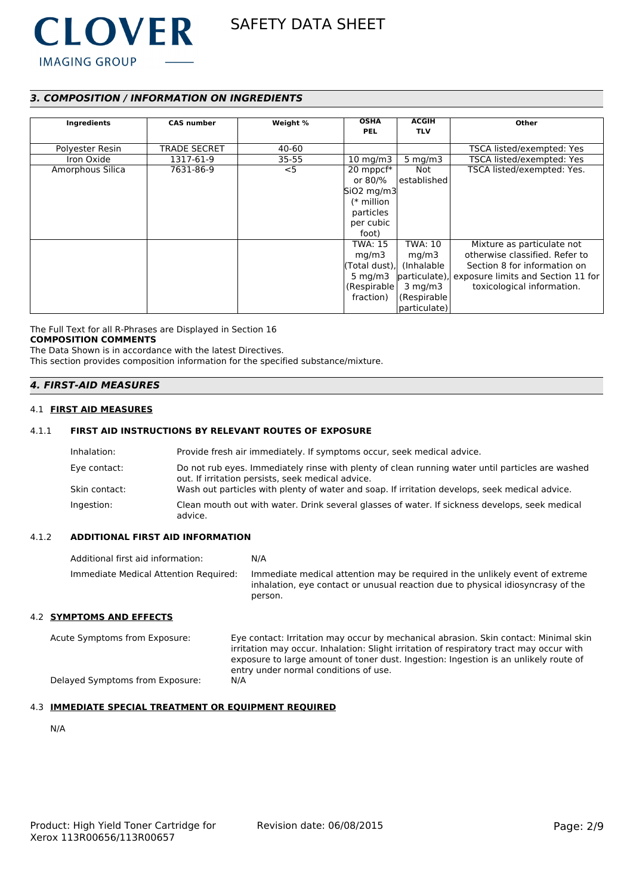

# *3. COMPOSITION / INFORMATION ON INGREDIENTS*

| <b>Ingredients</b> | <b>CAS number</b>   | Weight %  | <b>OSHA</b>                      | <b>ACGIH</b>     | <b>Other</b>                       |
|--------------------|---------------------|-----------|----------------------------------|------------------|------------------------------------|
|                    |                     |           | <b>PEL</b>                       | <b>TLV</b>       |                                    |
|                    |                     |           |                                  |                  |                                    |
| Polyester Resin    | <b>TRADE SECRET</b> | 40-60     |                                  |                  | TSCA listed/exempted: Yes          |
| Iron Oxide         | 1317-61-9           | $35 - 55$ | $10 \text{ mg/m}$                | $5 \text{ mg/m}$ | TSCA listed/exempted: Yes          |
| Amorphous Silica   | 7631-86-9           | $<$ 5     | 20 mppcf*                        | Not              | TSCA listed/exempted: Yes.         |
|                    |                     |           | or 80/%                          | established      |                                    |
|                    |                     |           | $\text{SiO2} \text{mg}/\text{m}$ |                  |                                    |
|                    |                     |           | $(*$ million                     |                  |                                    |
|                    |                     |           | particles                        |                  |                                    |
|                    |                     |           | per cubic                        |                  |                                    |
|                    |                     |           | foot)                            |                  |                                    |
|                    |                     |           | TWA: 15                          | TWA: 10          | Mixture as particulate not         |
|                    |                     |           | mq/m3                            | mg/m3            | otherwise classified. Refer to     |
|                    |                     |           | (Total dust),                    | (Inhalable)      | Section 8 for information on       |
|                    |                     |           | 5 mg/m $3$                       | particulate),    | exposure limits and Section 11 for |
|                    |                     |           | (Respirable)                     | $3 \text{ mg/m}$ | toxicological information.         |
|                    |                     |           | fraction)                        | (Respirable)     |                                    |
|                    |                     |           |                                  | particulate)     |                                    |

The Full Text for all R-Phrases are Displayed in Section 16 **COMPOSITION COMMENTS**

The Data Shown is in accordance with the latest Directives.

This section provides composition information for the specified substance/mixture.

# *4. FIRST-AID MEASURES*

# 4.1 **FIRST AID MEASURES**

# 4.1.1 **FIRST AID INSTRUCTIONS BY RELEVANT ROUTES OF EXPOSURE**

| Inhalation:   | Provide fresh air immediately. If symptoms occur, seek medical advice.                                                                                |
|---------------|-------------------------------------------------------------------------------------------------------------------------------------------------------|
| Eye contact:  | Do not rub eyes. Immediately rinse with plenty of clean running water until particles are washed<br>out. If irritation persists, seek medical advice. |
| Skin contact: | Wash out particles with plenty of water and soap. If irritation develops, seek medical advice.                                                        |
| Ingestion:    | Clean mouth out with water. Drink several glasses of water. If sickness develops, seek medical<br>advice.                                             |

### 4.1.2 **ADDITIONAL FIRST AID INFORMATION**

Additional first aid information: N/A

| Auditional ill st alu illionnation.   | N/H                                                                                                                                                             |
|---------------------------------------|-----------------------------------------------------------------------------------------------------------------------------------------------------------------|
| Immediate Medical Attention Required: | Immediate medical attention may be required in the unlikely event of extreme<br>inhalation, eye contact or unusual reaction due to physical idiosyncrasy of the |
|                                       | person.                                                                                                                                                         |

### 4.2 **SYMPTOMS AND EFFECTS**

Acute Symptoms from Exposure: Eye contact: Irritation may occur by mechanical abrasion. Skin contact: Minimal skin irritation may occur. Inhalation: Slight irritation of respiratory tract may occur with exposure to large amount of toner dust. Ingestion: Ingestion is an unlikely route of entry under normal conditions of use. Delayed Symptoms from Exposure: N/A

# 4.3 **IMMEDIATE SPECIAL TREATMENT OR EQUIPMENT REQUIRED**

N/A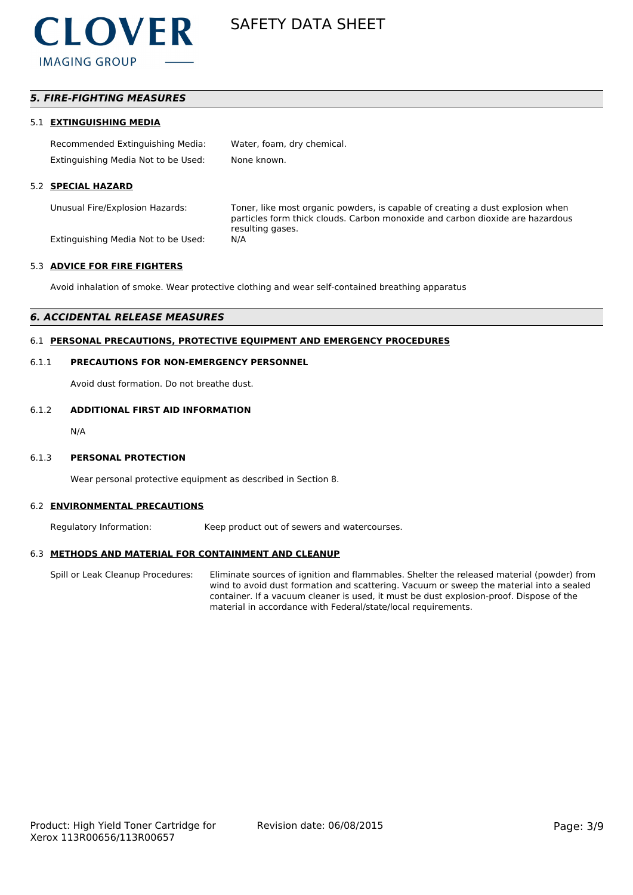

# *5. FIRE-FIGHTING MEASURES*

#### 5.1 **EXTINGUISHING MEDIA**

| Recommended Extinguishing Media:    | Water, foam, dry chemical. |
|-------------------------------------|----------------------------|
| Extinguishing Media Not to be Used: | None known.                |

### 5.2 **SPECIAL HAZARD**

Unusual Fire/Explosion Hazards: Toner, like most organic powders, is capable of creating a dust explosion when particles form thick clouds. Carbon monoxide and carbon dioxide are hazardous resulting gases.

Extinguishing Media Not to be Used: N/A

#### 5.3 **ADVICE FOR FIRE FIGHTERS**

Avoid inhalation of smoke. Wear protective clothing and wear self-contained breathing apparatus

## *6. ACCIDENTAL RELEASE MEASURES*

# 6.1 **PERSONAL PRECAUTIONS, PROTECTIVE EQUIPMENT AND EMERGENCY PROCEDURES**

#### 6.1.1 **PRECAUTIONS FOR NON-EMERGENCY PERSONNEL**

Avoid dust formation. Do not breathe dust.

#### 6.1.2 **ADDITIONAL FIRST AID INFORMATION**

N/A

#### 6.1.3 **PERSONAL PROTECTION**

Wear personal protective equipment as described in Section 8.

#### 6.2 **ENVIRONMENTAL PRECAUTIONS**

Regulatory Information: Keep product out of sewers and watercourses.

#### 6.3 **METHODS AND MATERIAL FOR CONTAINMENT AND CLEANUP**

Spill or Leak Cleanup Procedures: Eliminate sources of ignition and flammables. Shelter the released material (powder) from wind to avoid dust formation and scattering. Vacuum or sweep the material into a sealed container. If a vacuum cleaner is used, it must be dust explosion-proof. Dispose of the material in accordance with Federal/state/local requirements.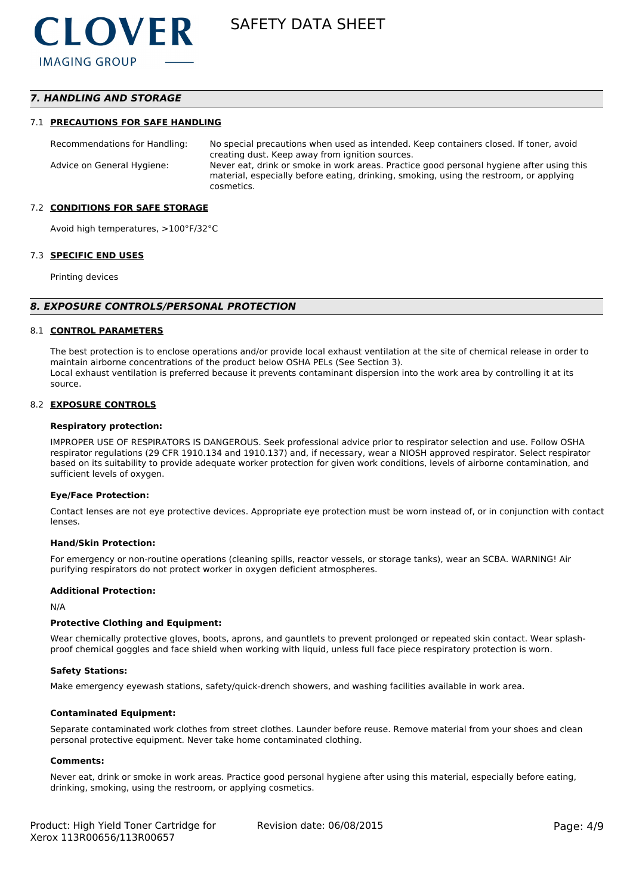# *7. HANDLING AND STORAGE*

#### 7.1 **PRECAUTIONS FOR SAFE HANDLING**

Recommendations for Handling: No special precautions when used as intended. Keep containers closed. If toner, avoid creating dust. Keep away from ignition sources. Advice on General Hygiene: Never eat, drink or smoke in work areas. Practice good personal hygiene after using this material, especially before eating, drinking, smoking, using the restroom, or applying cosmetics.

#### 7.2 **CONDITIONS FOR SAFE STORAGE**

Avoid high temperatures, >100°F/32°C

#### 7.3 **SPECIFIC END USES**

Printing devices

#### *8. EXPOSURE CONTROLS/PERSONAL PROTECTION*

#### 8.1 **CONTROL PARAMETERS**

The best protection is to enclose operations and/or provide local exhaust ventilation at the site of chemical release in order to maintain airborne concentrations of the product below OSHA PELs (See Section 3). Local exhaust ventilation is preferred because it prevents contaminant dispersion into the work area by controlling it at its source.

#### 8.2 **EXPOSURE CONTROLS**

#### **Respiratory protection:**

IMPROPER USE OF RESPIRATORS IS DANGEROUS. Seek professional advice prior to respirator selection and use. Follow OSHA respirator regulations (29 CFR 1910.134 and 1910.137) and, if necessary, wear a NIOSH approved respirator. Select respirator based on its suitability to provide adequate worker protection for given work conditions, levels of airborne contamination, and sufficient levels of oxygen.

#### **Eye/Face Protection:**

Contact lenses are not eye protective devices. Appropriate eye protection must be worn instead of, or in conjunction with contact lenses.

#### **Hand/Skin Protection:**

For emergency or non-routine operations (cleaning spills, reactor vessels, or storage tanks), wear an SCBA. WARNING! Air purifying respirators do not protect worker in oxygen deficient atmospheres.

#### **Additional Protection:**

N/A

#### **Protective Clothing and Equipment:**

Wear chemically protective gloves, boots, aprons, and gauntlets to prevent prolonged or repeated skin contact. Wear splashproof chemical goggles and face shield when working with liquid, unless full face piece respiratory protection is worn.

#### **Safety Stations:**

Make emergency eyewash stations, safety/quick-drench showers, and washing facilities available in work area.

#### **Contaminated Equipment:**

Separate contaminated work clothes from street clothes. Launder before reuse. Remove material from your shoes and clean personal protective equipment. Never take home contaminated clothing.

#### **Comments:**

Never eat, drink or smoke in work areas. Practice good personal hygiene after using this material, especially before eating, drinking, smoking, using the restroom, or applying cosmetics.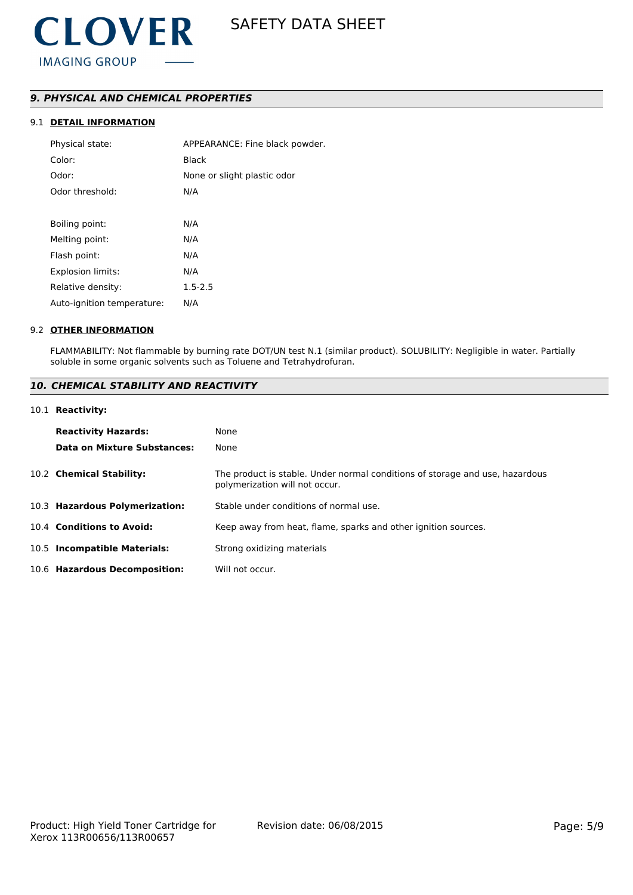# *9. PHYSICAL AND CHEMICAL PROPERTIES*

# 9.1 **DETAIL INFORMATION**

| Physical state:            | APPEARANCE: Fine black powder. |
|----------------------------|--------------------------------|
| Color:                     | Black                          |
| Odor:                      | None or slight plastic odor    |
| Odor threshold:            | N/A                            |
|                            |                                |
| Boiling point:             | N/A                            |
| Melting point:             | N/A                            |
| Flash point:               | N/A                            |
| Explosion limits:          | N/A                            |
| Relative density:          | $1.5 - 2.5$                    |
| Auto-ignition temperature: | N/A                            |
|                            |                                |

### 9.2 **OTHER INFORMATION**

FLAMMABILITY: Not flammable by burning rate DOT/UN test N.1 (similar product). SOLUBILITY: Negligible in water. Partially soluble in some organic solvents such as Toluene and Tetrahydrofuran.

# *10. CHEMICAL STABILITY AND REACTIVITY*

#### 10.1 **Reactivity:**

| <b>Reactivity Hazards:</b>     | None                                                                                                           |
|--------------------------------|----------------------------------------------------------------------------------------------------------------|
| Data on Mixture Substances:    | None                                                                                                           |
| 10.2 Chemical Stability:       | The product is stable. Under normal conditions of storage and use, hazardous<br>polymerization will not occur. |
| 10.3 Hazardous Polymerization: | Stable under conditions of normal use.                                                                         |
| 10.4 Conditions to Avoid:      | Keep away from heat, flame, sparks and other ignition sources.                                                 |
| 10.5 Incompatible Materials:   | Strong oxidizing materials                                                                                     |
| 10.6 Hazardous Decomposition:  | Will not occur.                                                                                                |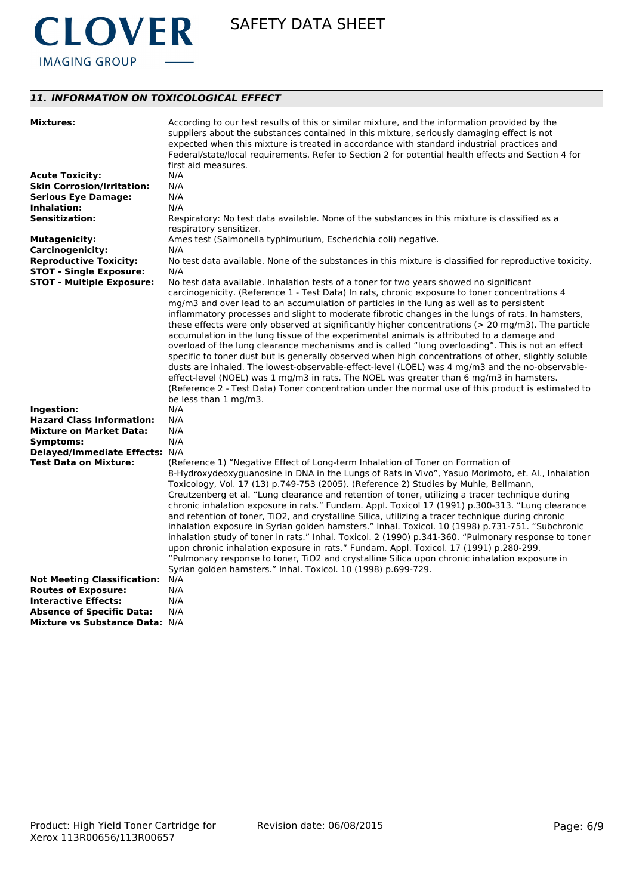

# *11. INFORMATION ON TOXICOLOGICAL EFFECT*

| <b>Mixtures:</b>                   |                                                                                                                                                                                             |
|------------------------------------|---------------------------------------------------------------------------------------------------------------------------------------------------------------------------------------------|
|                                    | According to our test results of this or similar mixture, and the information provided by the<br>suppliers about the substances contained in this mixture, seriously damaging effect is not |
|                                    | expected when this mixture is treated in accordance with standard industrial practices and                                                                                                  |
|                                    | Federal/state/local requirements. Refer to Section 2 for potential health effects and Section 4 for                                                                                         |
|                                    | first aid measures.                                                                                                                                                                         |
|                                    |                                                                                                                                                                                             |
| <b>Acute Toxicity:</b>             | N/A                                                                                                                                                                                         |
| <b>Skin Corrosion/Irritation:</b>  | N/A                                                                                                                                                                                         |
| <b>Serious Eye Damage:</b>         | N/A                                                                                                                                                                                         |
| Inhalation:                        | N/A                                                                                                                                                                                         |
| <b>Sensitization:</b>              | Respiratory: No test data available. None of the substances in this mixture is classified as a                                                                                              |
|                                    | respiratory sensitizer.                                                                                                                                                                     |
| <b>Mutagenicity:</b>               | Ames test (Salmonella typhimurium, Escherichia coli) negative.                                                                                                                              |
| <b>Carcinogenicity:</b>            | N/A                                                                                                                                                                                         |
| <b>Reproductive Toxicity:</b>      | No test data available. None of the substances in this mixture is classified for reproductive toxicity.                                                                                     |
| <b>STOT - Single Exposure:</b>     | N/A                                                                                                                                                                                         |
| <b>STOT - Multiple Exposure:</b>   | No test data available. Inhalation tests of a toner for two years showed no significant                                                                                                     |
|                                    | carcinogenicity. (Reference 1 - Test Data) In rats, chronic exposure to toner concentrations 4                                                                                              |
|                                    | mg/m3 and over lead to an accumulation of particles in the lung as well as to persistent                                                                                                    |
|                                    | inflammatory processes and slight to moderate fibrotic changes in the lungs of rats. In hamsters,                                                                                           |
|                                    | these effects were only observed at significantly higher concentrations (> 20 mg/m3). The particle                                                                                          |
|                                    | accumulation in the lung tissue of the experimental animals is attributed to a damage and                                                                                                   |
|                                    | overload of the lung clearance mechanisms and is called "lung overloading". This is not an effect                                                                                           |
|                                    | specific to toner dust but is generally observed when high concentrations of other, slightly soluble                                                                                        |
|                                    | dusts are inhaled. The lowest-observable-effect-level (LOEL) was 4 mg/m3 and the no-observable-                                                                                             |
|                                    | effect-level (NOEL) was 1 mg/m3 in rats. The NOEL was greater than 6 mg/m3 in hamsters.                                                                                                     |
|                                    | (Reference 2 - Test Data) Toner concentration under the normal use of this product is estimated to                                                                                          |
|                                    | be less than 1 mg/m3.                                                                                                                                                                       |
| Ingestion:                         | N/A                                                                                                                                                                                         |
| <b>Hazard Class Information:</b>   | N/A                                                                                                                                                                                         |
| <b>Mixture on Market Data:</b>     | N/A                                                                                                                                                                                         |
| Symptoms:                          | N/A                                                                                                                                                                                         |
| Delayed/Immediate Effects: N/A     |                                                                                                                                                                                             |
| <b>Test Data on Mixture:</b>       | (Reference 1) "Negative Effect of Long-term Inhalation of Toner on Formation of                                                                                                             |
|                                    | 8-Hydroxydeoxyguanosine in DNA in the Lungs of Rats in Vivo", Yasuo Morimoto, et. Al., Inhalation                                                                                           |
|                                    | Toxicology, Vol. 17 (13) p.749-753 (2005). (Reference 2) Studies by Muhle, Bellmann,                                                                                                        |
|                                    |                                                                                                                                                                                             |
|                                    | Creutzenberg et al. "Lung clearance and retention of toner, utilizing a tracer technique during                                                                                             |
|                                    | chronic inhalation exposure in rats." Fundam. Appl. Toxicol 17 (1991) p.300-313. "Lung clearance                                                                                            |
|                                    | and retention of toner, TiO2, and crystalline Silica, utilizing a tracer technique during chronic                                                                                           |
|                                    | inhalation exposure in Syrian golden hamsters." Inhal. Toxicol. 10 (1998) p.731-751. "Subchronic                                                                                            |
|                                    | inhalation study of toner in rats." Inhal. Toxicol. 2 (1990) p.341-360. "Pulmonary response to toner                                                                                        |
|                                    | upon chronic inhalation exposure in rats." Fundam. Appl. Toxicol. 17 (1991) p.280-299.                                                                                                      |
|                                    | "Pulmonary response to toner, TiO2 and crystalline Silica upon chronic inhalation exposure in                                                                                               |
|                                    | Syrian golden hamsters." Inhal. Toxicol. 10 (1998) p.699-729.                                                                                                                               |
| <b>Not Meeting Classification:</b> | N/A                                                                                                                                                                                         |
| <b>Routes of Exposure:</b>         | N/A                                                                                                                                                                                         |
| <b>Interactive Effects:</b>        | N/A                                                                                                                                                                                         |
| <b>Absence of Specific Data:</b>   | N/A                                                                                                                                                                                         |
| Mixture vs Substance Data: N/A     |                                                                                                                                                                                             |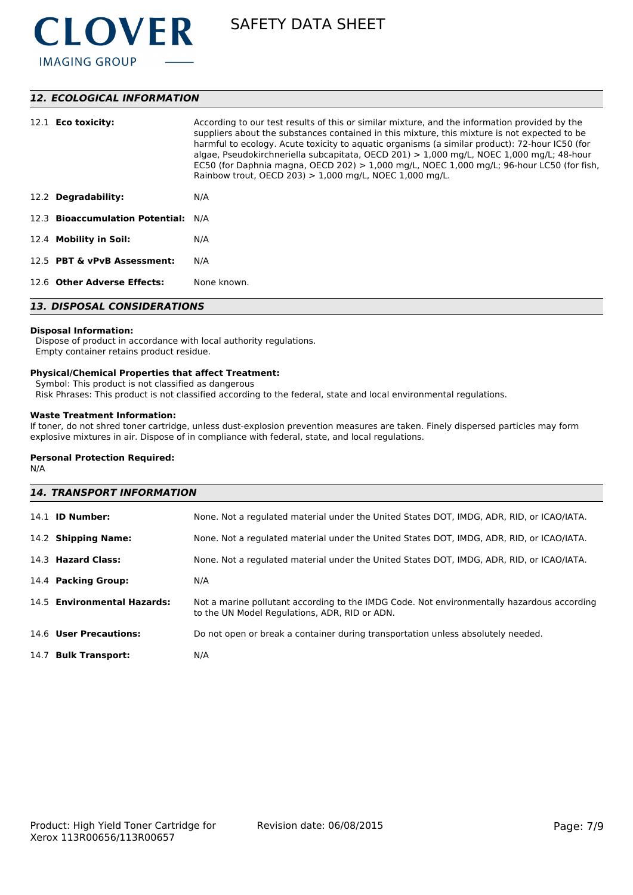

# *12. ECOLOGICAL INFORMATION*

| 12.1 <b>Eco toxicity:</b>           | According to our test results of this or similar mixture, and the information provided by the<br>suppliers about the substances contained in this mixture, this mixture is not expected to be<br>harmful to ecology. Acute toxicity to aguatic organisms (a similar product): 72-hour IC50 (for<br>algae, Pseudokirchneriella subcapitata, OECD 201) $> 1,000$ mg/L, NOEC 1,000 mg/L; 48-hour<br>EC50 (for Daphnia magna, OECD 202) $> 1,000$ mg/L, NOEC 1,000 mg/L; 96-hour LC50 (for fish,<br>Rainbow trout, OECD 203) $> 1,000$ mg/L, NOEC 1,000 mg/L. |  |
|-------------------------------------|-----------------------------------------------------------------------------------------------------------------------------------------------------------------------------------------------------------------------------------------------------------------------------------------------------------------------------------------------------------------------------------------------------------------------------------------------------------------------------------------------------------------------------------------------------------|--|
| 12.2 Degradability:                 | N/A                                                                                                                                                                                                                                                                                                                                                                                                                                                                                                                                                       |  |
| 12.3 Bioaccumulation Potential: N/A |                                                                                                                                                                                                                                                                                                                                                                                                                                                                                                                                                           |  |
| 12.4 Mobility in Soil:              | N/A                                                                                                                                                                                                                                                                                                                                                                                                                                                                                                                                                       |  |
| 12.5 PBT & vPvB Assessment:         | N/A                                                                                                                                                                                                                                                                                                                                                                                                                                                                                                                                                       |  |
| 12.6 Other Adverse Effects:         | None known.                                                                                                                                                                                                                                                                                                                                                                                                                                                                                                                                               |  |
| <b>13. DISPOSAL CONSIDERATIONS</b>  |                                                                                                                                                                                                                                                                                                                                                                                                                                                                                                                                                           |  |

#### **Disposal Information:**

 Dispose of product in accordance with local authority regulations. Empty container retains product residue.

## **Physical/Chemical Properties that affect Treatment:**

Symbol: This product is not classified as dangerous

Risk Phrases: This product is not classified according to the federal, state and local environmental regulations.

# **Waste Treatment Information:**

If toner, do not shred toner cartridge, unless dust-explosion prevention measures are taken. Finely dispersed particles may form explosive mixtures in air. Dispose of in compliance with federal, state, and local regulations.

#### **Personal Protection Required:**

N/A

| <b>14. TRANSPORT INFORMATION</b> |                                                                                                                                             |  |
|----------------------------------|---------------------------------------------------------------------------------------------------------------------------------------------|--|
| 14.1 <b>ID Number:</b>           | None. Not a regulated material under the United States DOT, IMDG, ADR, RID, or ICAO/IATA.                                                   |  |
| 14.2 Shipping Name:              | None. Not a regulated material under the United States DOT, IMDG, ADR, RID, or ICAO/IATA.                                                   |  |
| 14.3 Hazard Class:               | None. Not a regulated material under the United States DOT, IMDG, ADR, RID, or ICAO/IATA.                                                   |  |
| 14.4 Packing Group:              | N/A                                                                                                                                         |  |
| 14.5 Environmental Hazards:      | Not a marine pollutant according to the IMDG Code. Not environmentally hazardous according<br>to the UN Model Regulations, ADR, RID or ADN. |  |
| 14.6 User Precautions:           | Do not open or break a container during transportation unless absolutely needed.                                                            |  |
| 14.7 Bulk Transport:             | N/A                                                                                                                                         |  |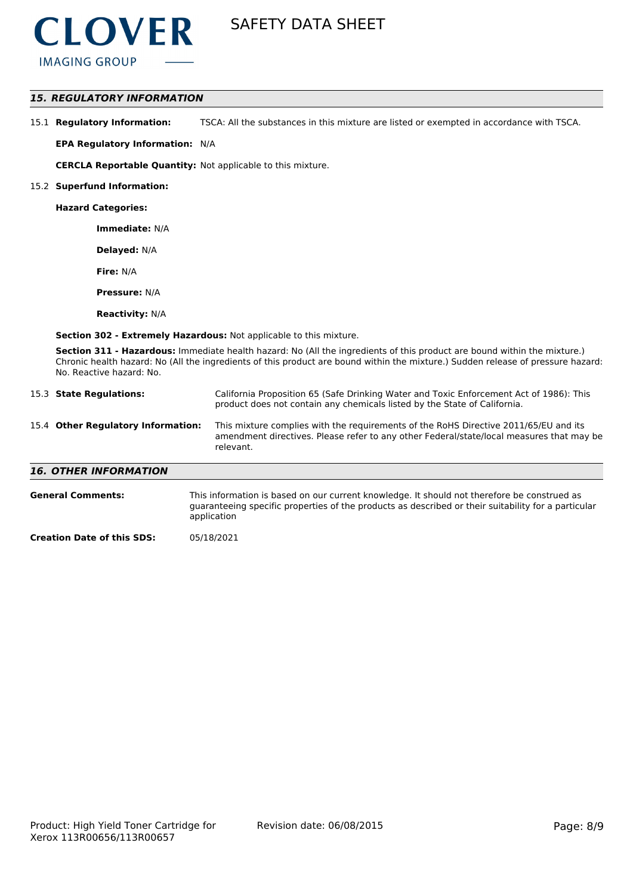

# *15. REGULATORY INFORMATION*

| 15.1 Regulatory Information: | TSCA: All the substances in this mixture are listed or exempted in accordance with TSCA. |
|------------------------------|------------------------------------------------------------------------------------------|
|------------------------------|------------------------------------------------------------------------------------------|

**EPA Regulatory Information:** N/A

**CERCLA Reportable Quantity:** Not applicable to this mixture.

#### 15.2 **Superfund Information:**

**Hazard Categories:**

**Immediate:** N/A

**Delayed:** N/A

**Fire:** N/A

**Pressure:** N/A

**Reactivity:** N/A

**Section 302 - Extremely Hazardous:** Not applicable to this mixture.

**Section 311 - Hazardous:** Immediate health hazard: No (All the ingredients of this product are bound within the mixture.) Chronic health hazard: No (All the ingredients of this product are bound within the mixture.) Sudden release of pressure hazard: No. Reactive hazard: No.

|                              | 15.3 State Regulations:            | California Proposition 65 (Safe Drinking Water and Toxic Enforcement Act of 1986): This<br>product does not contain any chemicals listed by the State of California.                          |  |
|------------------------------|------------------------------------|-----------------------------------------------------------------------------------------------------------------------------------------------------------------------------------------------|--|
|                              | 15.4 Other Regulatory Information: | This mixture complies with the requirements of the RoHS Directive 2011/65/EU and its<br>amendment directives. Please refer to any other Federal/state/local measures that may be<br>relevant. |  |
| <b>16. OTHER INFORMATION</b> |                                    |                                                                                                                                                                                               |  |
|                              | <b>General Comments:</b>           | This information is based on our current knowledge. It should not therefore be construed as                                                                                                   |  |

guaranteeing specific properties of the products as described or their suitability for a particular application

**Creation Date of this SDS:** 05/18/2021